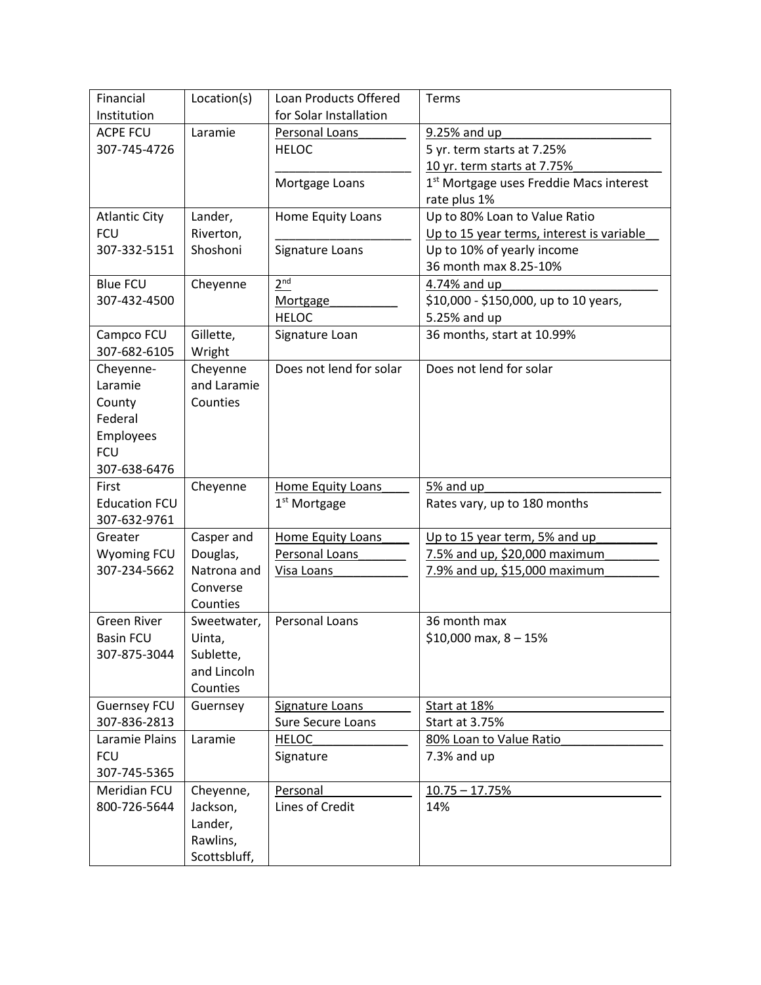| Financial                          |                         |                                     |                                                                |
|------------------------------------|-------------------------|-------------------------------------|----------------------------------------------------------------|
|                                    | Location(s)             | Loan Products Offered               | Terms                                                          |
| Institution                        |                         | for Solar Installation              |                                                                |
| <b>ACPE FCU</b>                    | Laramie                 | Personal Loans                      | 9.25% and up                                                   |
| 307-745-4726                       |                         | <b>HELOC</b>                        | 5 yr. term starts at 7.25%                                     |
|                                    |                         |                                     | 10 yr. term starts at 7.75%                                    |
|                                    |                         | Mortgage Loans                      | 1 <sup>st</sup> Mortgage uses Freddie Macs interest            |
|                                    |                         |                                     | rate plus 1%                                                   |
| <b>Atlantic City</b>               | Lander,                 | Home Equity Loans                   | Up to 80% Loan to Value Ratio                                  |
| <b>FCU</b>                         | Riverton,               |                                     | Up to 15 year terms, interest is variable                      |
| 307-332-5151                       | Shoshoni                | Signature Loans                     | Up to 10% of yearly income                                     |
|                                    |                         |                                     | 36 month max 8.25-10%                                          |
| <b>Blue FCU</b>                    | Cheyenne                | 2 <sup>nd</sup>                     | 4.74% and up                                                   |
| 307-432-4500                       |                         | Mortgage                            | \$10,000 - \$150,000, up to 10 years,                          |
|                                    |                         | <b>HELOC</b>                        | 5.25% and up                                                   |
| Campco FCU                         | Gillette,               | Signature Loan                      | 36 months, start at 10.99%                                     |
| 307-682-6105                       | Wright                  |                                     |                                                                |
| Cheyenne-                          | Cheyenne                | Does not lend for solar             | Does not lend for solar                                        |
| Laramie                            | and Laramie             |                                     |                                                                |
| County                             | Counties                |                                     |                                                                |
| Federal                            |                         |                                     |                                                                |
| Employees                          |                         |                                     |                                                                |
| <b>FCU</b>                         |                         |                                     |                                                                |
| 307-638-6476                       |                         |                                     |                                                                |
| First                              | Cheyenne                | Home Equity Loans                   | 5% and up                                                      |
| <b>Education FCU</b>               |                         | 1 <sup>st</sup> Mortgage            | Rates vary, up to 180 months                                   |
|                                    |                         |                                     |                                                                |
| 307-632-9761                       |                         |                                     |                                                                |
| Greater                            |                         |                                     |                                                                |
|                                    | Casper and              | Home Equity Loans<br>Personal Loans | Up to 15 year term, 5% and up                                  |
| <b>Wyoming FCU</b><br>307-234-5662 | Douglas,<br>Natrona and | Visa Loans                          | 7.5% and up, \$20,000 maximum<br>7.9% and up, \$15,000 maximum |
|                                    | Converse                |                                     |                                                                |
|                                    | Counties                |                                     |                                                                |
| <b>Green River</b>                 | Sweetwater,             | Personal Loans                      | 36 month max                                                   |
| <b>Basin FCU</b>                   | Uinta,                  |                                     | $$10,000$ max, $8 - 15\%$                                      |
| 307-875-3044                       | Sublette,               |                                     |                                                                |
|                                    | and Lincoln             |                                     |                                                                |
|                                    | Counties                |                                     |                                                                |
| <b>Guernsey FCU</b>                | Guernsey                | <b>Signature Loans</b>              | Start at 18%                                                   |
| 307-836-2813                       |                         | Sure Secure Loans                   | Start at 3.75%                                                 |
| Laramie Plains                     | Laramie                 | <b>HELOC</b>                        | 80% Loan to Value Ratio                                        |
| <b>FCU</b>                         |                         | Signature                           | 7.3% and up                                                    |
| 307-745-5365                       |                         |                                     |                                                                |
| Meridian FCU                       | Cheyenne,               | Personal                            | $10.75 - 17.75%$                                               |
| 800-726-5644                       | Jackson,                | Lines of Credit                     | 14%                                                            |
|                                    | Lander,                 |                                     |                                                                |
|                                    | Rawlins,                |                                     |                                                                |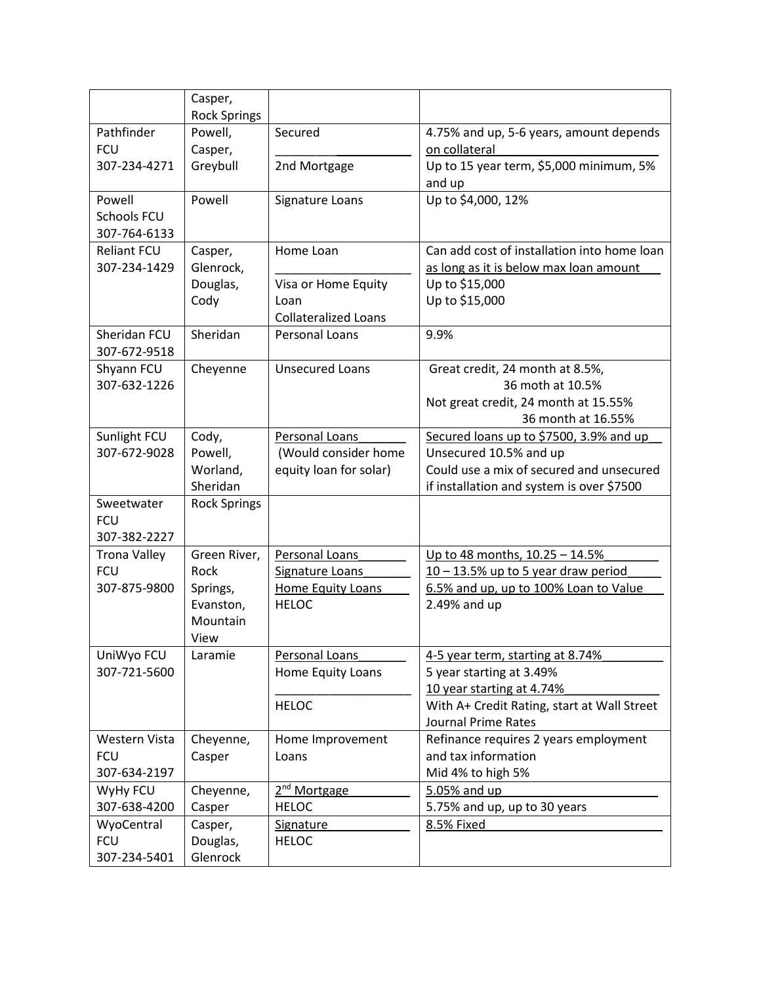|                              | Casper,<br><b>Rock Springs</b> |                             |                                                   |
|------------------------------|--------------------------------|-----------------------------|---------------------------------------------------|
| Pathfinder                   | Powell,                        | Secured                     | 4.75% and up, 5-6 years, amount depends           |
| <b>FCU</b>                   | Casper,                        |                             | on collateral                                     |
| 307-234-4271                 | Greybull                       | 2nd Mortgage                | Up to 15 year term, \$5,000 minimum, 5%<br>and up |
| Powell                       | Powell                         | Signature Loans             | Up to \$4,000, 12%                                |
| Schools FCU                  |                                |                             |                                                   |
| 307-764-6133                 |                                |                             |                                                   |
| <b>Reliant FCU</b>           | Casper,                        | Home Loan                   | Can add cost of installation into home loan       |
| 307-234-1429                 | Glenrock,                      |                             | as long as it is below max loan amount            |
|                              | Douglas,                       | Visa or Home Equity         | Up to \$15,000                                    |
|                              | Cody                           | Loan                        | Up to \$15,000                                    |
|                              |                                | <b>Collateralized Loans</b> |                                                   |
| Sheridan FCU<br>307-672-9518 | Sheridan                       | <b>Personal Loans</b>       | 9.9%                                              |
| Shyann FCU                   | Cheyenne                       | <b>Unsecured Loans</b>      | Great credit, 24 month at 8.5%,                   |
| 307-632-1226                 |                                |                             | 36 moth at 10.5%                                  |
|                              |                                |                             | Not great credit, 24 month at 15.55%              |
|                              |                                |                             | 36 month at 16.55%                                |
| Sunlight FCU                 | Cody,                          | Personal Loans              | Secured loans up to \$7500, 3.9% and up           |
| 307-672-9028                 | Powell,                        | (Would consider home        | Unsecured 10.5% and up                            |
|                              | Worland,                       | equity loan for solar)      | Could use a mix of secured and unsecured          |
|                              | Sheridan                       |                             | if installation and system is over \$7500         |
| Sweetwater                   | <b>Rock Springs</b>            |                             |                                                   |
| <b>FCU</b>                   |                                |                             |                                                   |
| 307-382-2227                 |                                |                             |                                                   |
| <b>Trona Valley</b>          | Green River,                   | Personal Loans              | Up to 48 months, 10.25 - 14.5%                    |
| <b>FCU</b>                   | Rock                           | Signature Loans             | $10 - 13.5\%$ up to 5 year draw period            |
| 307-875-9800                 | Springs,                       | Home Equity Loans           | 6.5% and up, up to 100% Loan to Value             |
|                              | Evanston,                      | <b>HELOC</b>                | 2.49% and up                                      |
|                              | Mountain                       |                             |                                                   |
|                              | View                           |                             |                                                   |
| UniWyo FCU                   | Laramie                        | Personal Loans              | 4-5 year term, starting at 8.74%                  |
| 307-721-5600                 |                                | Home Equity Loans           | 5 year starting at 3.49%                          |
|                              |                                |                             | 10 year starting at 4.74%                         |
|                              |                                | <b>HELOC</b>                | With A+ Credit Rating, start at Wall Street       |
|                              |                                |                             | <b>Journal Prime Rates</b>                        |
| Western Vista                | Cheyenne,                      | Home Improvement            | Refinance requires 2 years employment             |
| <b>FCU</b>                   | Casper                         | Loans                       | and tax information                               |
| 307-634-2197                 |                                |                             | Mid 4% to high 5%                                 |
| WyHy FCU                     | Cheyenne,                      | 2 <sup>nd</sup> Mortgage    | 5.05% and up                                      |
| 307-638-4200                 | Casper                         | <b>HELOC</b>                | 5.75% and up, up to 30 years                      |
| WyoCentral                   | Casper,                        | Signature                   | 8.5% Fixed                                        |
| <b>FCU</b>                   | Douglas,                       | <b>HELOC</b>                |                                                   |
| 307-234-5401                 | Glenrock                       |                             |                                                   |